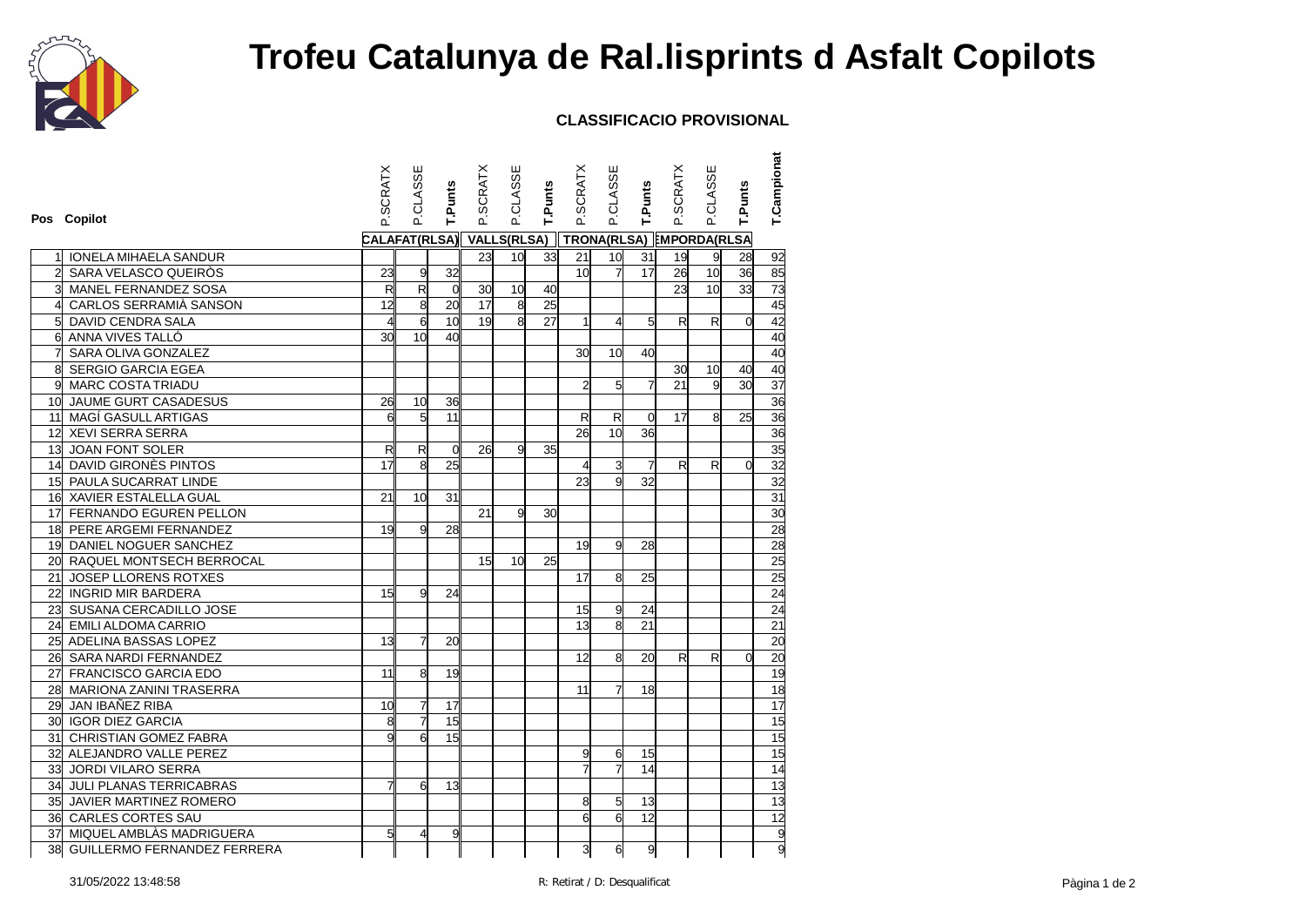

## **Trofeu Catalunya de Ral.lisprints d Asfalt Copilots**

## **CLASSIFICACIO PROVISIONAL**

|                 | Pos Copilot                        | <b>SCRATX</b>            | P.CLASSE       | T.Punts         | <b>P.SCRATX</b>    | P.CLASSE        | <b>T.Punts</b>           | P.SCRATX        | P.CLASSE       | T.Punts      | P.SCRATX     | P.CLASSE        | T.Punts        | <b>T.Campionat</b>             |
|-----------------|------------------------------------|--------------------------|----------------|-----------------|--------------------|-----------------|--------------------------|-----------------|----------------|--------------|--------------|-----------------|----------------|--------------------------------|
|                 |                                    | CALAFAT(RLSA)            |                |                 | <b>VALLS(RLSA)</b> |                 | TRONA(RLSA) EMPORDA(RLSA |                 |                |              |              |                 |                |                                |
|                 | <b>IONELA MIHAELA SANDUR</b>       |                          |                |                 | 23                 | 10 <sup>1</sup> | 33                       | 21              | 10             | 31           | 19           | 9               | 28             | 92                             |
| $\overline{2}$  | SARA VELASCO QUEIRÒS               | 23                       | 9              | 32              |                    |                 |                          | 10 <sup>1</sup> | $\overline{7}$ | 17           | 26           | 10 <sup>1</sup> | 36             | 85                             |
|                 | <b>MANEL FERNANDEZ SOSA</b>        | $\overline{\mathsf{R}}$  | $\overline{R}$ | $\Omega$        | 30                 | 10              | 40                       |                 |                |              | 23           | 10 <sup>1</sup> | 33             |                                |
| 4               | CARLOS SERRAMIÀ SANSON             | 12                       | 8              | 20              | 17                 | $\overline{8}$  | 25                       |                 |                |              |              |                 |                | $\frac{73}{45}$                |
| 5               | DAVID CENDRA SALA                  | $\overline{\mathcal{A}}$ | $\overline{6}$ | 10 <sup>1</sup> | 19                 | $\mathsf{a}$    | 27                       | $\mathbf{1}$    | 4              | 5            | R            | R               | $\overline{0}$ | 42                             |
| 6               | ANNA VIVES TALLÓ                   | 30 <sup>1</sup>          | 10             | 40 <sup>1</sup> |                    |                 |                          |                 |                |              |              |                 |                | 40                             |
| $\overline{7}$  | SARA OLIVA GONZALEZ                |                          |                |                 |                    |                 |                          | 30              | 10             | 40           |              |                 |                | 40                             |
| 8               | <b>SERGIO GARCIA EGEA</b>          |                          |                |                 |                    |                 |                          |                 |                |              | 30           | 10 <sup>1</sup> | 40             | 40                             |
| 9l              | <b>MARC COSTA TRIADU</b>           |                          |                |                 |                    |                 |                          | $\overline{a}$  | 5              | 7            | 21           | g               | 30             | 37                             |
| 10 <sup>1</sup> | JAUME GURT CASADESUS               | 26                       | 10             | 36              |                    |                 |                          |                 |                |              |              |                 |                | 36                             |
| 11              | MAGÍ GASULL ARTIGAS                | 6                        | 5              | 11              |                    |                 |                          | R               | R              | $\mathbf 0$  | 17           | 8               | 25             | 36                             |
|                 | 12 XEVI SERRA SERRA                |                          |                |                 |                    |                 |                          | $\overline{26}$ | 10             | 36           |              |                 |                | 36                             |
| 13              | JOAN FONT SOLER                    | R                        | R              | 0               | 26                 | 9l              | 35                       |                 |                |              |              |                 |                | 35                             |
|                 | 14 DAVID GIRONÈS PINTOS            | 17                       | 8              | 25              |                    |                 |                          | 4               | 3              | 7            | $\mathsf{R}$ | R               | $\overline{0}$ | 32                             |
|                 | 15 PAULA SUCARRAT LINDE            |                          |                |                 |                    |                 |                          | 23              | 9              | 32           |              |                 |                | 32                             |
|                 | 16 XAVIER ESTALELLA GUAL           | 21                       | 10             | 31              |                    |                 |                          |                 |                |              |              |                 |                | 31                             |
| 17 <sup>1</sup> | FERNANDO EGUREN PELLON             |                          |                |                 | 21                 | g               | 30                       |                 |                |              |              |                 |                | 30                             |
|                 | 18 PERE ARGEMI FERNANDEZ           | 19                       | 9              | 28              |                    |                 |                          |                 |                |              |              |                 |                | 28                             |
|                 | 19 DANIEL NOGUER SANCHEZ           |                          |                |                 |                    |                 |                          | 19              | 9              | 28           |              |                 |                | 28                             |
|                 | 20 RAQUEL MONTSECH BERROCAL        |                          |                |                 | 15                 | 10 <sup>1</sup> | 25                       |                 |                |              |              |                 |                | 25                             |
| 21              | JOSEP LLORENS ROTXES               |                          |                |                 |                    |                 |                          | 17              | 8              | 25           |              |                 |                | 25                             |
|                 | 22 INGRID MIR BARDERA              | 15                       | 9              | 24              |                    |                 |                          |                 |                |              |              |                 |                | 24                             |
| 23              | SUSANA CERCADILLO JOSE             |                          |                |                 |                    |                 |                          | 15              | 9              | 24           |              |                 |                | 24                             |
|                 | 24 EMILI ALDOMA CARRIO             |                          |                |                 |                    |                 |                          | 13              | 8              | 21           |              |                 |                | $\overline{21}$                |
|                 | 25 ADELINA BASSAS LOPEZ            | 13                       | $\overline{7}$ | 20              |                    |                 |                          |                 |                |              |              |                 |                | 20                             |
|                 | 26 SARA NARDI FERNANDEZ            |                          |                |                 |                    |                 |                          | 12              | 8              | 20           | R            | R               | $\Omega$       | 20                             |
|                 | 27 FRANCISCO GARCIA EDO            | 11                       | 8              | 19              |                    |                 |                          |                 |                |              |              |                 |                | 19                             |
|                 | 28 MARIONA ZANINI TRASERRA         |                          |                |                 |                    |                 |                          | 11              |                | 18           |              |                 |                | 18                             |
| 29              | JAN IBAÑEZ RIBA                    | 10                       | $\overline{7}$ | 17              |                    |                 |                          |                 |                |              |              |                 |                | 17                             |
|                 | 30 IGOR DIEZ GARCIA                | 8                        | $\overline{7}$ | 15              |                    |                 |                          |                 |                |              |              |                 |                | $\frac{15}{15}$                |
|                 | 31 CHRISTIAN GOMEZ FABRA           | g                        | 6              | 15              |                    |                 |                          |                 |                |              |              |                 |                |                                |
| 32              | ALEJANDRO VALLE PEREZ              |                          |                |                 |                    |                 |                          | 9               | 6              | 15           |              |                 |                | 15                             |
| 33              | <b>JORDI VILARO SERRA</b>          |                          |                |                 |                    |                 |                          | $\overline{7}$  | $\overline{7}$ | 14           |              |                 |                | 14                             |
| 34              | JULI PLANAS TERRICABRAS            | 7                        | 6              | 13              |                    |                 |                          |                 |                |              |              |                 |                | 13                             |
|                 | 35 JAVIER MARTINEZ ROMERO          |                          |                |                 |                    |                 |                          | 8               | 5              | 13           |              |                 |                |                                |
|                 | 36 CARLES CORTES SAU               |                          |                |                 |                    |                 |                          | $\overline{6}$  | 6              | 12           |              |                 |                |                                |
|                 | 37 MIQUEL AMBLÀS MADRIGUERA        | $5\overline{5}$          | 4              | 9               |                    |                 |                          |                 |                |              |              |                 |                |                                |
| 38              | <b>GUILLERMO FERNANDEZ FERRERA</b> |                          |                |                 |                    |                 |                          | $\overline{3}$  | 6              | $\mathsf{g}$ |              |                 |                | $\frac{13}{12}$ $\frac{13}{9}$ |